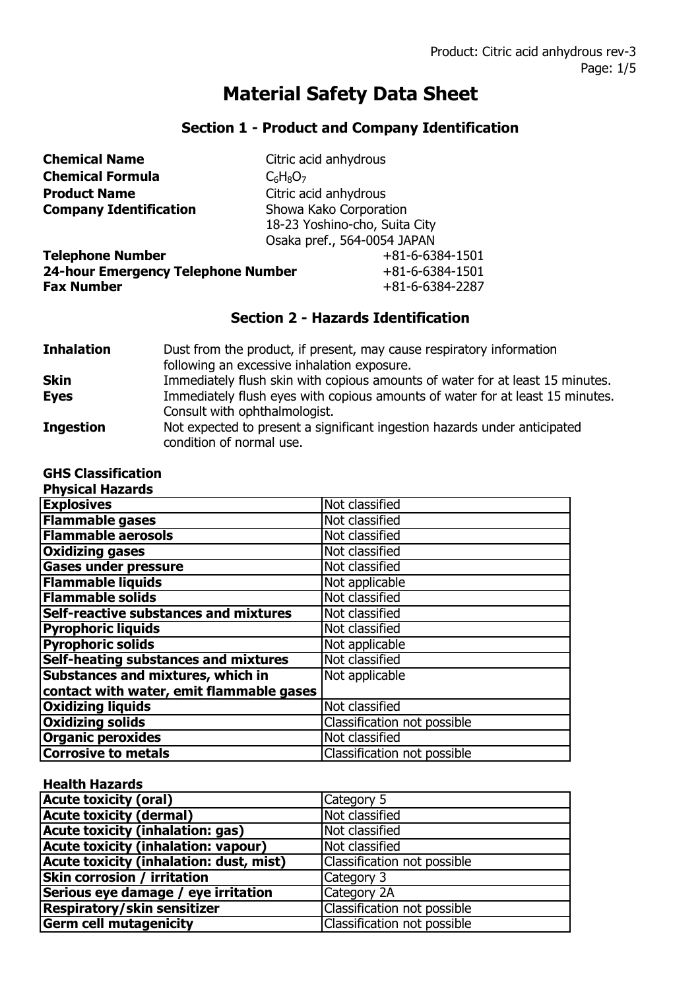# **Material Safety Data Sheet**

## **Section 1 - Product and Company Identification**

| <b>Chemical Name</b>                      | Citric acid anhydrous         |
|-------------------------------------------|-------------------------------|
| <b>Chemical Formula</b>                   | $C_6H_8O_7$                   |
| <b>Product Name</b>                       | Citric acid anhydrous         |
| <b>Company Identification</b>             | Showa Kako Corporation        |
|                                           | 18-23 Yoshino-cho, Suita City |
|                                           | Osaka pref., 564-0054 JAPAN   |
| <b>Telephone Number</b>                   | $+81 - 6 - 6384 - 1501$       |
| <b>24-hour Emergency Telephone Number</b> | $+81 - 6 - 6384 - 1501$       |
| <b>Fax Number</b>                         | $+81-6-6384-2287$             |

### **Section 2 - Hazards Identification**

| <b>Inhalation</b> | Dust from the product, if present, may cause respiratory information<br>following an excessive inhalation exposure. |
|-------------------|---------------------------------------------------------------------------------------------------------------------|
| <b>Skin</b>       | Immediately flush skin with copious amounts of water for at least 15 minutes.                                       |
| <b>Eyes</b>       | Immediately flush eyes with copious amounts of water for at least 15 minutes.<br>Consult with ophthalmologist.      |
| <b>Ingestion</b>  | Not expected to present a significant ingestion hazards under anticipated<br>condition of normal use.               |

| <b>GHS Classification</b>                    |                             |
|----------------------------------------------|-----------------------------|
| <b>Physical Hazards</b>                      |                             |
| <b>Explosives</b>                            | Not classified              |
| <b>Flammable gases</b>                       | Not classified              |
| <b>Flammable aerosols</b>                    | Not classified              |
| <b>Oxidizing gases</b>                       | Not classified              |
| <b>Gases under pressure</b>                  | Not classified              |
| <b>Flammable liquids</b>                     | Not applicable              |
| <b>Flammable solids</b>                      | Not classified              |
| <b>Self-reactive substances and mixtures</b> | Not classified              |
| <b>Pyrophoric liquids</b>                    | Not classified              |
| <b>Pyrophoric solids</b>                     | Not applicable              |
| Self-heating substances and mixtures         | Not classified              |
| Substances and mixtures, which in            | Not applicable              |
| contact with water, emit flammable gases     |                             |
| <b>Oxidizing liquids</b>                     | Not classified              |
| <b>Oxidizing solids</b>                      | Classification not possible |
| <b>Organic peroxides</b>                     | Not classified              |
| <b>Corrosive to metals</b>                   | Classification not possible |

#### **Health Hazards**

| <b>Acute toxicity (oral)</b>            | Category 5                  |
|-----------------------------------------|-----------------------------|
| <b>Acute toxicity (dermal)</b>          | Not classified              |
| <b>Acute toxicity (inhalation: gas)</b> | Not classified              |
| Acute toxicity (inhalation: vapour)     | Not classified              |
| Acute toxicity (inhalation: dust, mist) | Classification not possible |
| <b>Skin corrosion / irritation</b>      | Category 3                  |
| Serious eye damage / eye irritation     | Category 2A                 |
| Respiratory/skin sensitizer             | Classification not possible |
| <b>Germ cell mutagenicity</b>           | Classification not possible |
|                                         |                             |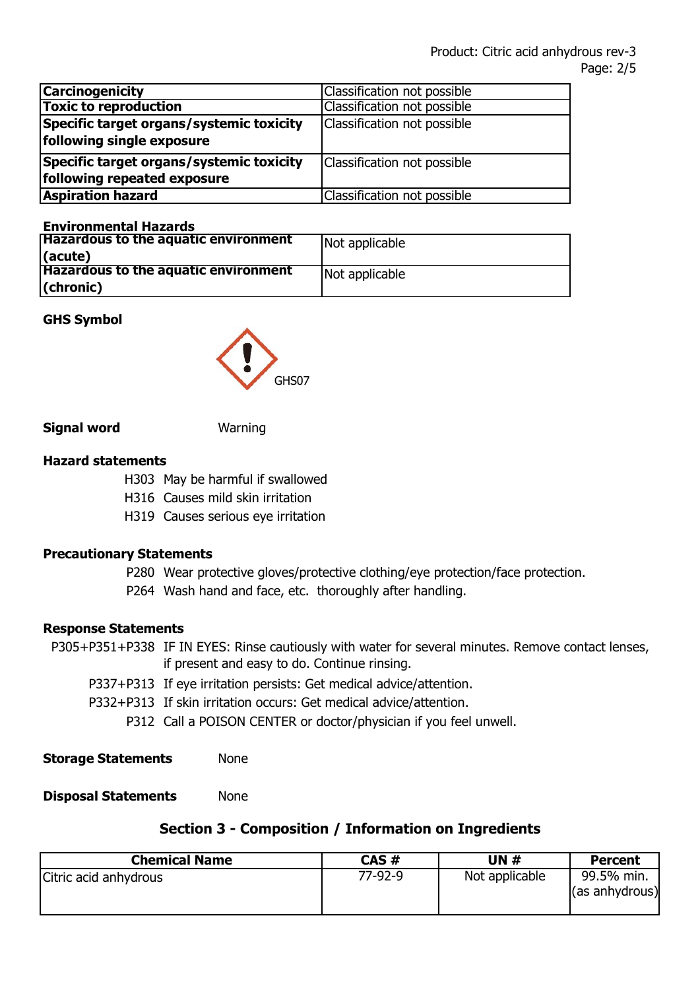| <b>Carcinogenicity</b>                                                  | Classification not possible |
|-------------------------------------------------------------------------|-----------------------------|
| <b>Toxic to reproduction</b>                                            | Classification not possible |
| Specific target organs/systemic toxicity<br>following single exposure   | Classification not possible |
| Specific target organs/systemic toxicity<br>following repeated exposure | Classification not possible |
| <b>Aspiration hazard</b>                                                | Classification not possible |

#### **Environmental Hazards**

| <b>Hazardous to the aquatic environment</b><br>(acute) | Not applicable |
|--------------------------------------------------------|----------------|
| <b>Hazardous to the aquatic environment</b>            | Not applicable |
| $ $ (chronic)                                          |                |

#### **GHS Symbol**



#### **Signal word Warning**

#### **Hazard statements**

- H303 May be harmful if swallowed
- H316 Causes mild skin irritation
- H319 Causes serious eye irritation

#### **Precautionary Statements**

- P280 Wear protective gloves/protective clothing/eye protection/face protection.
- P264 Wash hand and face, etc. thoroughly after handling.

#### **Response Statements**

- P305+P351+P338 IF IN EYES: Rinse cautiously with water for several minutes. Remove contact lenses, if present and easy to do. Continue rinsing.
	- P337+P313 If eye irritation persists: Get medical advice/attention.
	- P332+P313 If skin irritation occurs: Get medical advice/attention. P312 Call a POISON CENTER or doctor/physician if you feel unwell.
- **Storage Statements** None

#### **Disposal Statements** None

#### **Section 3 - Composition / Information on Ingredients**

| <b>Chemical Name</b>  | $CAS \#$ | UN #           | <b>Percent</b>               |
|-----------------------|----------|----------------|------------------------------|
| Citric acid anhydrous | 77-92-9  | Not applicable | 99.5% min.<br>(as anhydrous) |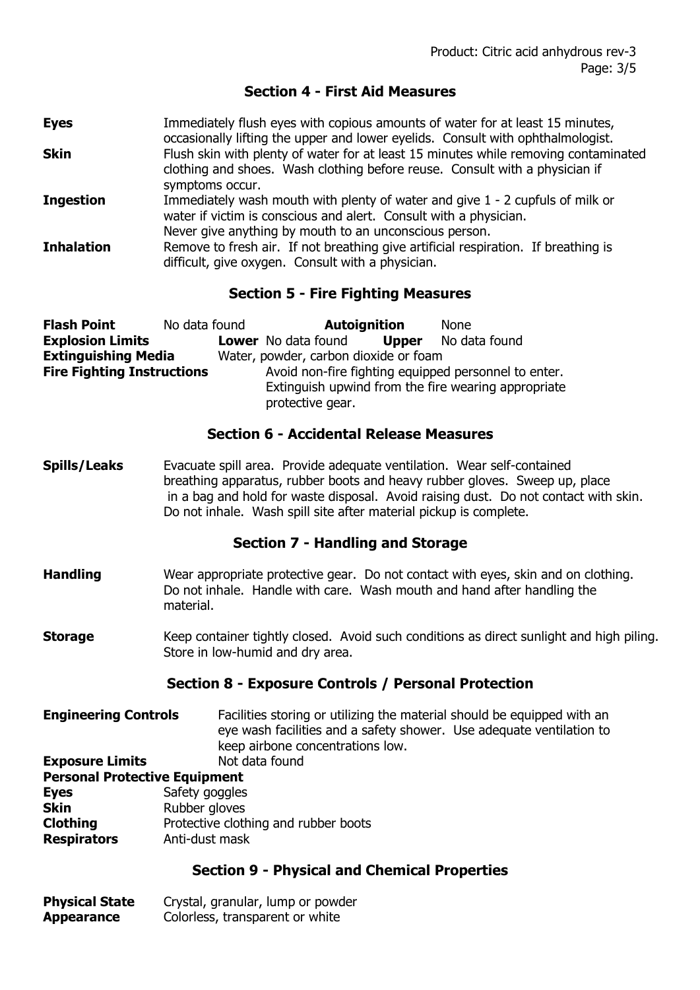#### **Section 4 - First Aid Measures**

**Eyes** Immediately flush eyes with copious amounts of water for at least 15 minutes, occasionally lifting the upper and lower eyelids. Consult with ophthalmologist. **Skin** Flush skin with plenty of water for at least 15 minutes while removing contaminated clothing and shoes. Wash clothing before reuse. Consult with a physician if symptoms occur. **Ingestion** Immediately wash mouth with plenty of water and give 1 - 2 cupfuls of milk or water if victim is conscious and alert. Consult with a physician. Never give anything by mouth to an unconscious person. **Inhalation** Remove to fresh air. If not breathing give artificial respiration. If breathing is difficult, give oxygen. Consult with a physician.

#### **Section 5 - Fire Fighting Measures**

| <b>Flash Point</b>                | No data found |                                                      | <b>Autoignition</b> | <b>None</b>                                         |
|-----------------------------------|---------------|------------------------------------------------------|---------------------|-----------------------------------------------------|
| <b>Explosion Limits</b>           |               | <b>Lower</b> No data found                           | <b>Upper</b>        | No data found                                       |
| <b>Extinguishing Media</b>        |               | Water, powder, carbon dioxide or foam                |                     |                                                     |
| <b>Fire Fighting Instructions</b> |               | Avoid non-fire fighting equipped personnel to enter. |                     |                                                     |
|                                   |               |                                                      |                     | Extinguish upwind from the fire wearing appropriate |
|                                   |               | protective gear.                                     |                     |                                                     |

#### **Section 6 - Accidental Release Measures**

**Spills/Leaks** Evacuate spill area. Provide adequate ventilation. Wear self-contained breathing apparatus, rubber boots and heavy rubber gloves. Sweep up, place in a bag and hold for waste disposal. Avoid raising dust. Do not contact with skin. Do not inhale. Wash spill site after material pickup is complete.

#### **Section 7 - Handling and Storage**

- **Handling** Wear appropriate protective gear. Do not contact with eyes, skin and on clothing. Do not inhale. Handle with care. Wash mouth and hand after handling the material.
- **Storage** Keep container tightly closed. Avoid such conditions as direct sunlight and high piling. Store in low-humid and dry area.

#### **Section 8 - Exposure Controls / Personal Protection**

**Engineering Controls** Facilities storing or utilizing the material should be equipped with an eye wash facilities and a safety shower. Use adequate ventilation to keep airbone concentrations low.

#### **Exposure Limits** Not data found **Personal Protective Equipment**

| <b>FEISURE FIULCLIVE EQUIPINENT</b>  |  |  |
|--------------------------------------|--|--|
| Safety goggles                       |  |  |
| Rubber gloves                        |  |  |
| Protective clothing and rubber boots |  |  |
| Anti-dust mask                       |  |  |
|                                      |  |  |

#### **Section 9 - Physical and Chemical Properties**

| <b>Physical State</b> | Crystal, granular, lump or powder |
|-----------------------|-----------------------------------|
| Appearance            | Colorless, transparent or white   |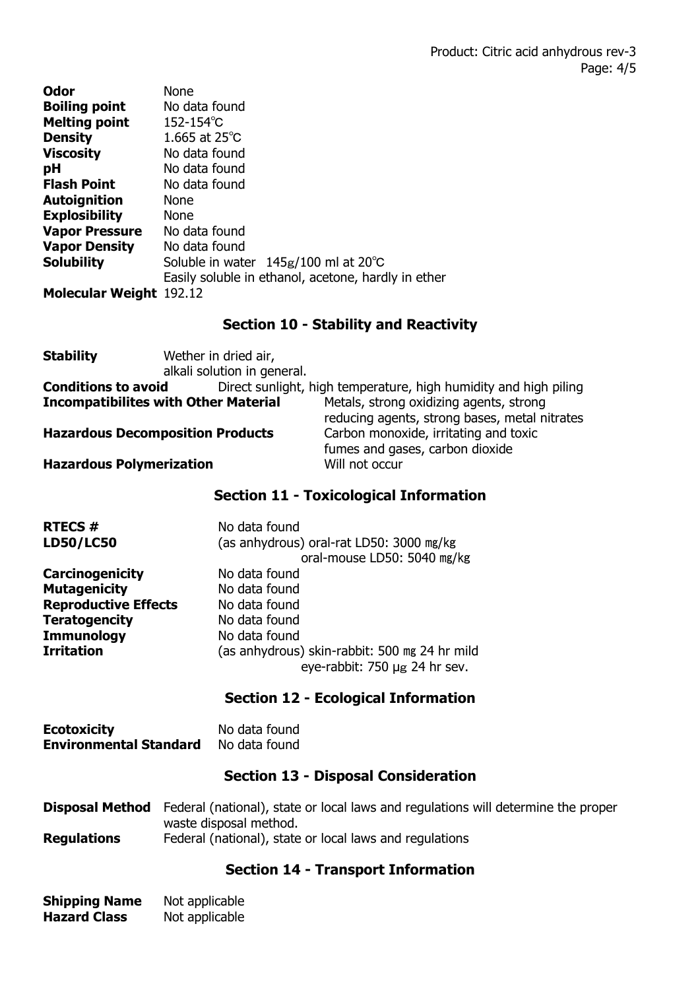| Odor                           | <b>None</b>                                         |
|--------------------------------|-----------------------------------------------------|
| <b>Boiling point</b>           | No data found                                       |
| <b>Melting point</b>           | $152 - 154^{\circ}C$                                |
| <b>Density</b>                 | 1.665 at $25^{\circ}$ C                             |
| <b>Viscosity</b>               | No data found                                       |
| pH                             | No data found                                       |
| <b>Flash Point</b>             | No data found                                       |
| <b>Autoignition</b>            | <b>None</b>                                         |
| <b>Explosibility</b>           | <b>None</b>                                         |
| <b>Vapor Pressure</b>          | No data found                                       |
| <b>Vapor Density</b>           | No data found                                       |
| <b>Solubility</b>              | Soluble in water $145g/100$ ml at 20 $^{\circ}$ C   |
|                                | Easily soluble in ethanol, acetone, hardly in ether |
| <b>Molecular Weight 192.12</b> |                                                     |

#### **Section 10 - Stability and Reactivity**

| <b>Stability</b>                              | Wether in dried air,        |                                                                                          |
|-----------------------------------------------|-----------------------------|------------------------------------------------------------------------------------------|
|                                               | alkali solution in general. |                                                                                          |
| <b>Conditions to avoid</b>                    |                             | Direct sunlight, high temperature, high humidity and high piling                         |
| <b>Incompatibilites with Other Material</b>   |                             | Metals, strong oxidizing agents, strong<br>reducing agents, strong bases, metal nitrates |
| <b>Hazardous Decomposition Products</b>       |                             | Carbon monoxide, irritating and toxic<br>fumes and gases, carbon dioxide                 |
| <b>Hazardous Polymerization</b>               |                             | Will not occur                                                                           |
| <b>Section 11 - Toxicological Information</b> |                             |                                                                                          |

| <b>RTECS#</b>               | No data found                                                                  |  |
|-----------------------------|--------------------------------------------------------------------------------|--|
| <b>LD50/LC50</b>            | (as anhydrous) oral-rat LD50: 3000 mg/kg<br>oral-mouse LD50: 5040 mg/kg        |  |
| <b>Carcinogenicity</b>      | No data found                                                                  |  |
| <b>Mutagenicity</b>         | No data found                                                                  |  |
| <b>Reproductive Effects</b> | No data found                                                                  |  |
| <b>Teratogencity</b>        | No data found                                                                  |  |
| <b>Immunology</b>           | No data found                                                                  |  |
| <b>Irritation</b>           | (as anhydrous) skin-rabbit: 500 mg 24 hr mild<br>eye-rabbit: 750 µg 24 hr sev. |  |

#### **Section 12 - Ecological Information**

| <b>Ecotoxicity</b>            | No data found |
|-------------------------------|---------------|
| <b>Environmental Standard</b> | No data found |

### **Section 13 - Disposal Consideration**

**Disposal Method** Federal (national), state or local laws and regulations will determine the proper waste disposal method. **Regulations** Federal (national), state or local laws and regulations

### **Section 14 - Transport Information**

| <b>Shipping Name</b> | Not applicable |
|----------------------|----------------|
| <b>Hazard Class</b>  | Not applicable |